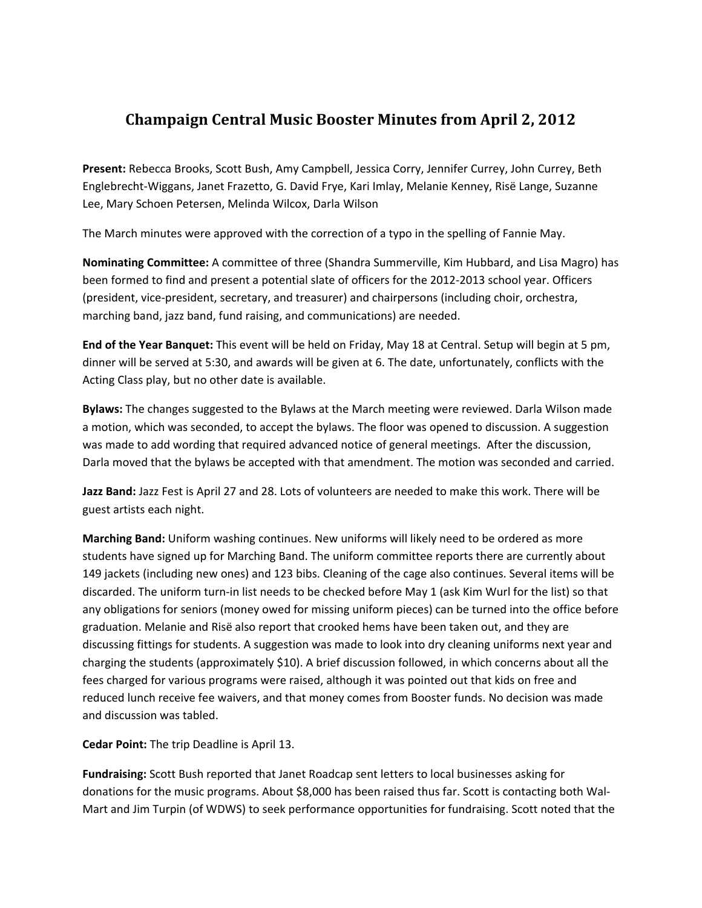## **Champaign Central Music Booster Minutes from April 2, 2012**

**Present:** Rebecca Brooks, Scott Bush, Amy Campbell, Jessica Corry, Jennifer Currey, John Currey, Beth Englebrecht‐Wiggans, Janet Frazetto, G. David Frye, Kari Imlay, Melanie Kenney, Risë Lange, Suzanne Lee, Mary Schoen Petersen, Melinda Wilcox, Darla Wilson

The March minutes were approved with the correction of a typo in the spelling of Fannie May.

**Nominating Committee:** A committee of three (Shandra Summerville, Kim Hubbard, and Lisa Magro) has been formed to find and present a potential slate of officers for the 2012‐2013 school year. Officers (president, vice‐president, secretary, and treasurer) and chairpersons (including choir, orchestra, marching band, jazz band, fund raising, and communications) are needed.

**End of the Year Banquet:** This event will be held on Friday, May 18 at Central. Setup will begin at 5 pm, dinner will be served at 5:30, and awards will be given at 6. The date, unfortunately, conflicts with the Acting Class play, but no other date is available.

**Bylaws:** The changes suggested to the Bylaws at the March meeting were reviewed. Darla Wilson made a motion, which was seconded, to accept the bylaws. The floor was opened to discussion. A suggestion was made to add wording that required advanced notice of general meetings. After the discussion, Darla moved that the bylaws be accepted with that amendment. The motion was seconded and carried.

**Jazz Band:** Jazz Fest is April 27 and 28. Lots of volunteers are needed to make this work. There will be guest artists each night.

**Marching Band:** Uniform washing continues. New uniforms will likely need to be ordered as more students have signed up for Marching Band. The uniform committee reports there are currently about 149 jackets (including new ones) and 123 bibs. Cleaning of the cage also continues. Several items will be discarded. The uniform turn‐in list needs to be checked before May 1 (ask Kim Wurl for the list) so that any obligations for seniors (money owed for missing uniform pieces) can be turned into the office before graduation. Melanie and Risë also report that crooked hems have been taken out, and they are discussing fittings for students. A suggestion was made to look into dry cleaning uniforms next year and charging the students (approximately \$10). A brief discussion followed, in which concerns about all the fees charged for various programs were raised, although it was pointed out that kids on free and reduced lunch receive fee waivers, and that money comes from Booster funds. No decision was made and discussion was tabled.

**Cedar Point:** The trip Deadline is April 13.

**Fundraising:** Scott Bush reported that Janet Roadcap sent letters to local businesses asking for donations for the music programs. About \$8,000 has been raised thus far. Scott is contacting both Wal‐ Mart and Jim Turpin (of WDWS) to seek performance opportunities for fundraising. Scott noted that the